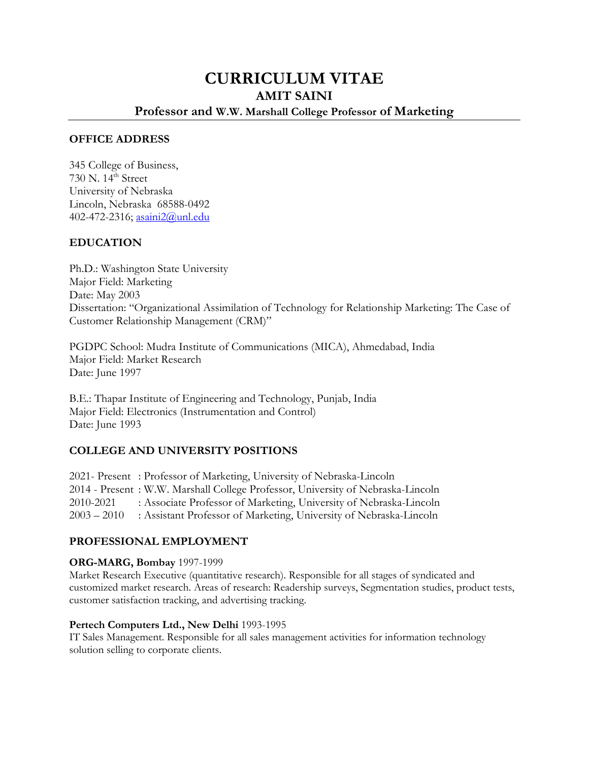# **CURRICULUM VITAE AMIT SAINI Professor and W.W. Marshall College Professor of Marketing**

#### **OFFICE ADDRESS**

345 College of Business, 730 N. 14<sup>th</sup> Street University of Nebraska Lincoln, Nebraska 68588-0492 402-472-2316; asaini2@unl.edu

## **EDUCATION**

Ph.D.: Washington State University Major Field: Marketing Date: May 2003 Dissertation: "Organizational Assimilation of Technology for Relationship Marketing: The Case of Customer Relationship Management (CRM)"

PGDPC School: Mudra Institute of Communications (MICA), Ahmedabad, India Major Field: Market Research Date: June 1997

B.E.: Thapar Institute of Engineering and Technology, Punjab, India Major Field: Electronics (Instrumentation and Control) Date: June 1993

## **COLLEGE AND UNIVERSITY POSITIONS**

2021- Present : Professor of Marketing, University of Nebraska-Lincoln 2014 - Present : W.W. Marshall College Professor, University of Nebraska-Lincoln 2010-2021 : Associate Professor of Marketing, University of Nebraska-Lincoln 2003 – 2010 : Assistant Professor of Marketing, University of Nebraska-Lincoln

### **PROFESSIONAL EMPLOYMENT**

### **ORG-MARG, Bombay** 1997-1999

Market Research Executive (quantitative research). Responsible for all stages of syndicated and customized market research. Areas of research: Readership surveys, Segmentation studies, product tests, customer satisfaction tracking, and advertising tracking.

#### **Pertech Computers Ltd., New Delhi** 1993-1995

IT Sales Management. Responsible for all sales management activities for information technology solution selling to corporate clients.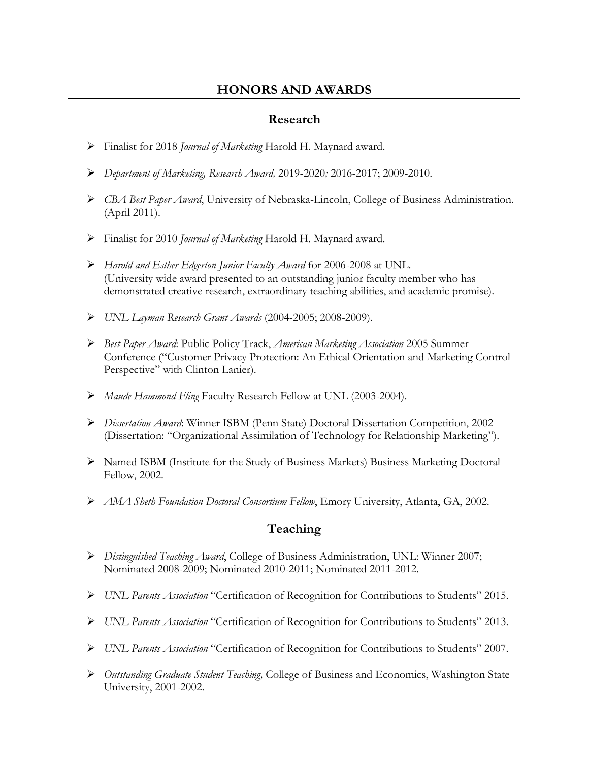# **HONORS AND AWARDS**

# **Research**

- Ø Finalist for 2018 *Journal of Marketing* Harold H. Maynard award.
- Ø *Department of Marketing, Research Award,* 2019-2020*;* 2016-2017; 2009-2010.
- Ø *CBA Best Paper Award*, University of Nebraska-Lincoln, College of Business Administration. (April 2011).
- Ø Finalist for 2010 *Journal of Marketing* Harold H. Maynard award.
- Ø *Harold and Esther Edgerton Junior Faculty Award* for 2006-2008 at UNL. (University wide award presented to an outstanding junior faculty member who has demonstrated creative research, extraordinary teaching abilities, and academic promise).
- Ø *UNL Layman Research Grant Awards* (2004-2005; 2008-2009).
- Ø *Best Paper Award*: Public Policy Track, *American Marketing Association* 2005 Summer Conference ("Customer Privacy Protection: An Ethical Orientation and Marketing Control Perspective" with Clinton Lanier).
- Ø *Maude Hammond Fling* Faculty Research Fellow at UNL (2003-2004).
- Ø *Dissertation Award*: Winner ISBM (Penn State) Doctoral Dissertation Competition, 2002 (Dissertation: "Organizational Assimilation of Technology for Relationship Marketing").
- Ø Named ISBM (Institute for the Study of Business Markets) Business Marketing Doctoral Fellow, 2002.
- Ø *AMA Sheth Foundation Doctoral Consortium Fellow*, Emory University, Atlanta, GA, 2002.

# **Teaching**

- Ø *Distinguished Teaching Award*, College of Business Administration, UNL: Winner 2007; Nominated 2008-2009; Nominated 2010-2011; Nominated 2011-2012.
- Ø *UNL Parents Association* "Certification of Recognition for Contributions to Students" 2015.
- Ø *UNL Parents Association* "Certification of Recognition for Contributions to Students" 2013.
- Ø *UNL Parents Association* "Certification of Recognition for Contributions to Students" 2007.
- Ø *Outstanding Graduate Student Teaching,* College of Business and Economics, Washington State University, 2001-2002.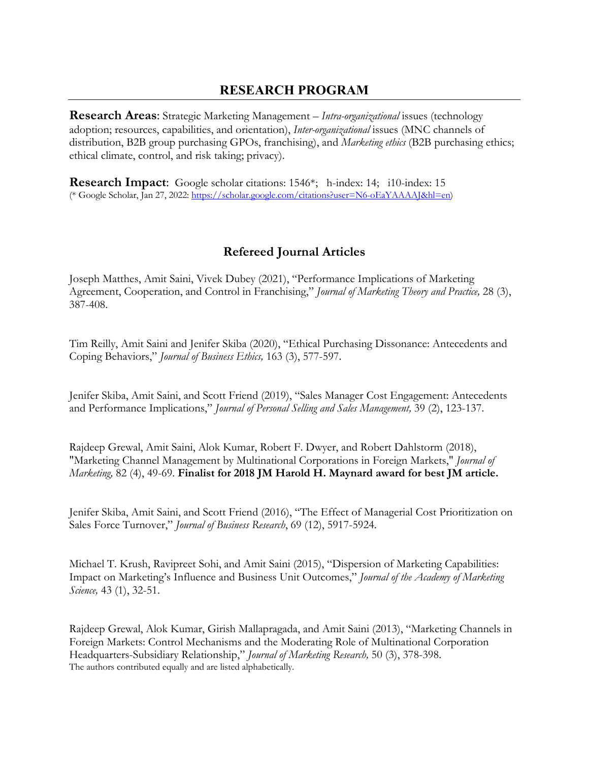# **RESEARCH PROGRAM**

**Research Areas**: Strategic Marketing Management – *Intra-organizational* issues (technology adoption; resources, capabilities, and orientation), *Inter-organizational* issues (MNC channels of distribution, B2B group purchasing GPOs, franchising), and *Marketing ethics* (B2B purchasing ethics; ethical climate, control, and risk taking; privacy).

**Research Impact**: Google scholar citations: 1546\*; h-index: 14; i10-index: 15 (\* Google Scholar, Jan 27, 2022: https://scholar.google.com/citations?user=N6-oEaYAAAAJ&hl=en)

# **Refereed Journal Articles**

Joseph Matthes, Amit Saini, Vivek Dubey (2021), "Performance Implications of Marketing Agreement, Cooperation, and Control in Franchising," *Journal of Marketing Theory and Practice,* 28 (3), 387-408.

Tim Reilly, Amit Saini and Jenifer Skiba (2020), "Ethical Purchasing Dissonance: Antecedents and Coping Behaviors," *Journal of Business Ethics,* 163 (3), 577-597.

Jenifer Skiba, Amit Saini, and Scott Friend (2019), "Sales Manager Cost Engagement: Antecedents and Performance Implications," *Journal of Personal Selling and Sales Management,* 39 (2), 123-137.

Rajdeep Grewal, Amit Saini, Alok Kumar, Robert F. Dwyer, and Robert Dahlstorm (2018), "Marketing Channel Management by Multinational Corporations in Foreign Markets," *Journal of Marketing,* 82 (4), 49-69. **Finalist for 2018 JM Harold H. Maynard award for best JM article.**

Jenifer Skiba, Amit Saini, and Scott Friend (2016), "The Effect of Managerial Cost Prioritization on Sales Force Turnover," *Journal of Business Research*, 69 (12), 5917-5924.

Michael T. Krush, Ravipreet Sohi, and Amit Saini (2015), "Dispersion of Marketing Capabilities: Impact on Marketing's Influence and Business Unit Outcomes," *Journal of the Academy of Marketing Science,* 43 (1), 32-51.

Rajdeep Grewal, Alok Kumar, Girish Mallapragada, and Amit Saini (2013), "Marketing Channels in Foreign Markets: Control Mechanisms and the Moderating Role of Multinational Corporation Headquarters-Subsidiary Relationship," *Journal of Marketing Research,* 50 (3), 378-398. The authors contributed equally and are listed alphabetically.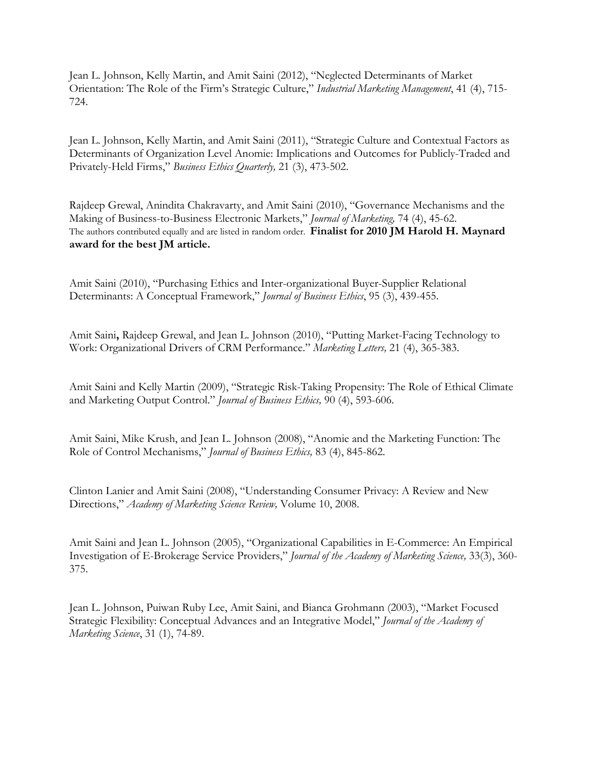Jean L. Johnson, Kelly Martin, and Amit Saini (2012), "Neglected Determinants of Market Orientation: The Role of the Firm's Strategic Culture," *Industrial Marketing Management*, 41 (4), 715- 724.

Jean L. Johnson, Kelly Martin, and Amit Saini (2011), "Strategic Culture and Contextual Factors as Determinants of Organization Level Anomie: Implications and Outcomes for Publicly-Traded and Privately-Held Firms," *Business Ethics Quarterly,* 21 (3), 473-502.

Rajdeep Grewal, Anindita Chakravarty, and Amit Saini (2010), "Governance Mechanisms and the Making of Business-to-Business Electronic Markets," *Journal of Marketing,* 74 (4), 45-62. The authors contributed equally and are listed in random order. **Finalist for 2010 JM Harold H. Maynard award for the best JM article.** 

Amit Saini (2010), "Purchasing Ethics and Inter-organizational Buyer-Supplier Relational Determinants: A Conceptual Framework," *Journal of Business Ethics*, 95 (3), 439-455.

Amit Saini**,** Rajdeep Grewal, and Jean L. Johnson (2010), "Putting Market-Facing Technology to Work: Organizational Drivers of CRM Performance." *Marketing Letters,* 21 (4), 365-383.

Amit Saini and Kelly Martin (2009), "Strategic Risk-Taking Propensity: The Role of Ethical Climate and Marketing Output Control." *Journal of Business Ethics,* 90 (4), 593-606.

Amit Saini, Mike Krush, and Jean L. Johnson (2008), "Anomie and the Marketing Function: The Role of Control Mechanisms," *Journal of Business Ethics,* 83 (4), 845-862.

Clinton Lanier and Amit Saini (2008), "Understanding Consumer Privacy: A Review and New Directions," *Academy of Marketing Science Review,* Volume 10, 2008.

Amit Saini and Jean L. Johnson (2005), "Organizational Capabilities in E-Commerce: An Empirical Investigation of E-Brokerage Service Providers," *Journal of the Academy of Marketing Science,* 33(3), 360- 375.

Jean L. Johnson, Puiwan Ruby Lee, Amit Saini, and Bianca Grohmann (2003), "Market Focused Strategic Flexibility: Conceptual Advances and an Integrative Model," *Journal of the Academy of Marketing Science*, 31 (1), 74-89.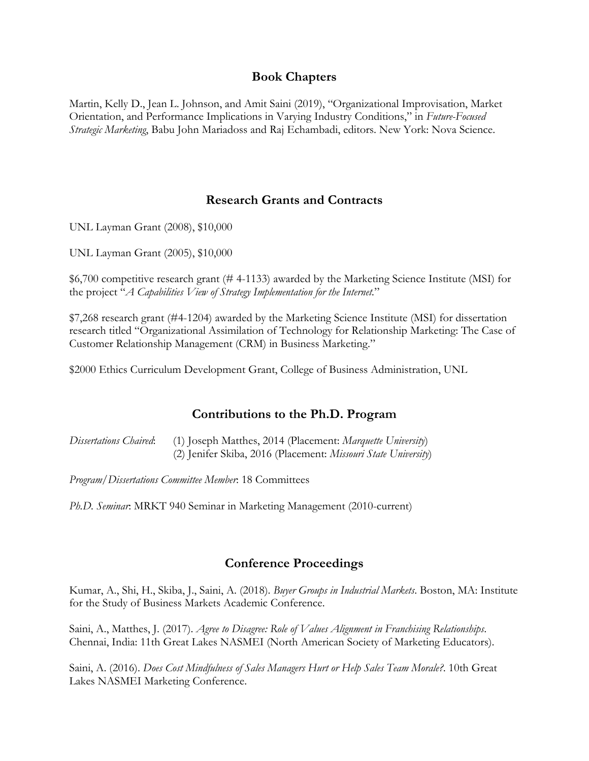## **Book Chapters**

Martin, Kelly D., Jean L. Johnson, and Amit Saini (2019), "Organizational Improvisation, Market Orientation, and Performance Implications in Varying Industry Conditions," in *Future-Focused Strategic Marketing*, Babu John Mariadoss and Raj Echambadi, editors. New York: Nova Science.

# **Research Grants and Contracts**

UNL Layman Grant (2008), \$10,000

UNL Layman Grant (2005), \$10,000

\$6,700 competitive research grant (# 4-1133) awarded by the Marketing Science Institute (MSI) for the project "*A Capabilities View of Strategy Implementation for the Internet.*"

\$7,268 research grant (#4-1204) awarded by the Marketing Science Institute (MSI) for dissertation research titled "Organizational Assimilation of Technology for Relationship Marketing: The Case of Customer Relationship Management (CRM) in Business Marketing."

\$2000 Ethics Curriculum Development Grant, College of Business Administration, UNL

# **Contributions to the Ph.D. Program**

*Dissertations Chaired*: (1) Joseph Matthes, 2014 (Placement: *Marquette University*) (2) Jenifer Skiba, 2016 (Placement: *Missouri State University*)

*Program/Dissertations Committee Member*: 18 Committees

*Ph.D. Seminar*: MRKT 940 Seminar in Marketing Management (2010-current)

# **Conference Proceedings**

Kumar, A., Shi, H., Skiba, J., Saini, A. (2018). *Buyer Groups in Industrial Markets*. Boston, MA: Institute for the Study of Business Markets Academic Conference.

Saini, A., Matthes, J. (2017). *Agree to Disagree: Role of Values Alignment in Franchising Relationships*. Chennai, India: 11th Great Lakes NASMEI (North American Society of Marketing Educators).

Saini, A. (2016). *Does Cost Mindfulness of Sales Managers Hurt or Help Sales Team Morale?*. 10th Great Lakes NASMEI Marketing Conference.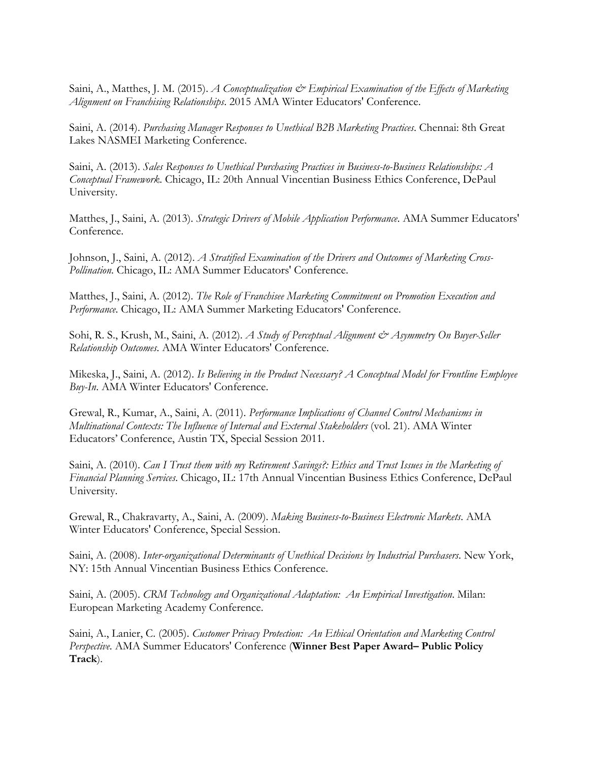Saini, A., Matthes, J. M. (2015). *A Conceptualization*  $\mathcal{Q}^*$  *Empirical Examination of the Effects of Marketing Alignment on Franchising Relationships*. 2015 AMA Winter Educators' Conference.

Saini, A. (2014). *Purchasing Manager Responses to Unethical B2B Marketing Practices*. Chennai: 8th Great Lakes NASMEI Marketing Conference.

Saini, A. (2013). *Sales Responses to Unethical Purchasing Practices in Business-to-Business Relationships: A Conceptual Framework*. Chicago, IL: 20th Annual Vincentian Business Ethics Conference, DePaul University.

Matthes, J., Saini, A. (2013). *Strategic Drivers of Mobile Application Performance*. AMA Summer Educators' Conference.

Johnson, J., Saini, A. (2012). *A Stratified Examination of the Drivers and Outcomes of Marketing Cross-Pollination*. Chicago, IL: AMA Summer Educators' Conference.

Matthes, J., Saini, A. (2012). *The Role of Franchisee Marketing Commitment on Promotion Execution and Performance*. Chicago, IL: AMA Summer Marketing Educators' Conference.

Sohi, R. S., Krush, M., Saini, A. (2012). *A Study of Perceptual Alignment & Asymmetry On Buyer-Seller Relationship Outcomes*. AMA Winter Educators' Conference.

Mikeska, J., Saini, A. (2012). *Is Believing in the Product Necessary? A Conceptual Model for Frontline Employee Buy-In*. AMA Winter Educators' Conference.

Grewal, R., Kumar, A., Saini, A. (2011). *Performance Implications of Channel Control Mechanisms in Multinational Contexts: The Influence of Internal and External Stakeholders* (vol. 21). AMA Winter Educators' Conference, Austin TX, Special Session 2011.

Saini, A. (2010). *Can I Trust them with my Retirement Savings?: Ethics and Trust Issues in the Marketing of Financial Planning Services*. Chicago, IL: 17th Annual Vincentian Business Ethics Conference, DePaul University.

Grewal, R., Chakravarty, A., Saini, A. (2009). *Making Business-to-Business Electronic Markets*. AMA Winter Educators' Conference, Special Session.

Saini, A. (2008). *Inter-organizational Determinants of Unethical Decisions by Industrial Purchasers*. New York, NY: 15th Annual Vincentian Business Ethics Conference.

Saini, A. (2005). *CRM Technology and Organizational Adaptation: An Empirical Investigation*. Milan: European Marketing Academy Conference.

Saini, A., Lanier, C. (2005). *Customer Privacy Protection: An Ethical Orientation and Marketing Control Perspective*. AMA Summer Educators' Conference (**Winner Best Paper Award– Public Policy Track**).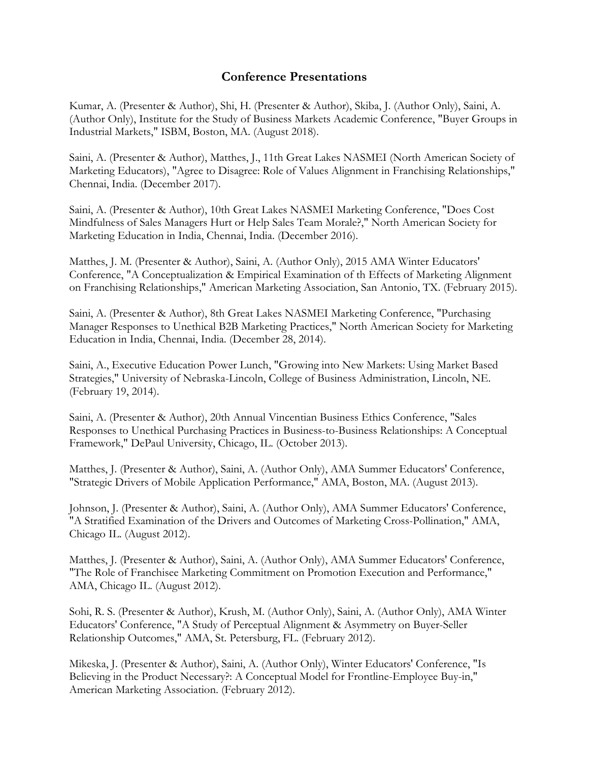# **Conference Presentations**

Kumar, A. (Presenter & Author), Shi, H. (Presenter & Author), Skiba, J. (Author Only), Saini, A. (Author Only), Institute for the Study of Business Markets Academic Conference, "Buyer Groups in Industrial Markets," ISBM, Boston, MA. (August 2018).

Saini, A. (Presenter & Author), Matthes, J., 11th Great Lakes NASMEI (North American Society of Marketing Educators), "Agree to Disagree: Role of Values Alignment in Franchising Relationships," Chennai, India. (December 2017).

Saini, A. (Presenter & Author), 10th Great Lakes NASMEI Marketing Conference, "Does Cost Mindfulness of Sales Managers Hurt or Help Sales Team Morale?," North American Society for Marketing Education in India, Chennai, India. (December 2016).

Matthes, J. M. (Presenter & Author), Saini, A. (Author Only), 2015 AMA Winter Educators' Conference, "A Conceptualization & Empirical Examination of th Effects of Marketing Alignment on Franchising Relationships," American Marketing Association, San Antonio, TX. (February 2015).

Saini, A. (Presenter & Author), 8th Great Lakes NASMEI Marketing Conference, "Purchasing Manager Responses to Unethical B2B Marketing Practices," North American Society for Marketing Education in India, Chennai, India. (December 28, 2014).

Saini, A., Executive Education Power Lunch, "Growing into New Markets: Using Market Based Strategies," University of Nebraska-Lincoln, College of Business Administration, Lincoln, NE. (February 19, 2014).

Saini, A. (Presenter & Author), 20th Annual Vincentian Business Ethics Conference, "Sales Responses to Unethical Purchasing Practices in Business-to-Business Relationships: A Conceptual Framework," DePaul University, Chicago, IL. (October 2013).

Matthes, J. (Presenter & Author), Saini, A. (Author Only), AMA Summer Educators' Conference, "Strategic Drivers of Mobile Application Performance," AMA, Boston, MA. (August 2013).

Johnson, J. (Presenter & Author), Saini, A. (Author Only), AMA Summer Educators' Conference, "A Stratified Examination of the Drivers and Outcomes of Marketing Cross-Pollination," AMA, Chicago IL. (August 2012).

Matthes, J. (Presenter & Author), Saini, A. (Author Only), AMA Summer Educators' Conference, "The Role of Franchisee Marketing Commitment on Promotion Execution and Performance," AMA, Chicago IL. (August 2012).

Sohi, R. S. (Presenter & Author), Krush, M. (Author Only), Saini, A. (Author Only), AMA Winter Educators' Conference, "A Study of Perceptual Alignment & Asymmetry on Buyer-Seller Relationship Outcomes," AMA, St. Petersburg, FL. (February 2012).

Mikeska, J. (Presenter & Author), Saini, A. (Author Only), Winter Educators' Conference, "Is Believing in the Product Necessary?: A Conceptual Model for Frontline-Employee Buy-in," American Marketing Association. (February 2012).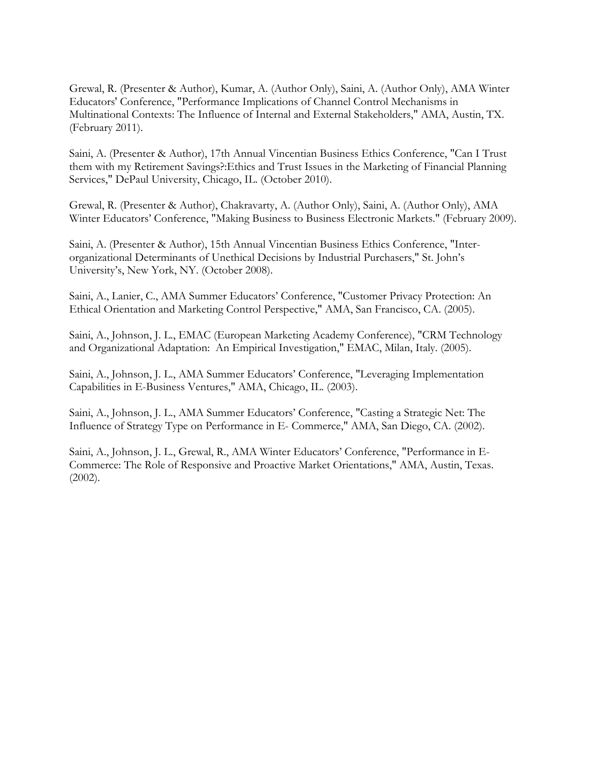Grewal, R. (Presenter & Author), Kumar, A. (Author Only), Saini, A. (Author Only), AMA Winter Educators' Conference, "Performance Implications of Channel Control Mechanisms in Multinational Contexts: The Influence of Internal and External Stakeholders," AMA, Austin, TX. (February 2011).

Saini, A. (Presenter & Author), 17th Annual Vincentian Business Ethics Conference, "Can I Trust them with my Retirement Savings?:Ethics and Trust Issues in the Marketing of Financial Planning Services," DePaul University, Chicago, IL. (October 2010).

Grewal, R. (Presenter & Author), Chakravarty, A. (Author Only), Saini, A. (Author Only), AMA Winter Educators' Conference, "Making Business to Business Electronic Markets." (February 2009).

Saini, A. (Presenter & Author), 15th Annual Vincentian Business Ethics Conference, "Interorganizational Determinants of Unethical Decisions by Industrial Purchasers," St. John's University's, New York, NY. (October 2008).

Saini, A., Lanier, C., AMA Summer Educators' Conference, "Customer Privacy Protection: An Ethical Orientation and Marketing Control Perspective," AMA, San Francisco, CA. (2005).

Saini, A., Johnson, J. L., EMAC (European Marketing Academy Conference), "CRM Technology and Organizational Adaptation: An Empirical Investigation," EMAC, Milan, Italy. (2005).

Saini, A., Johnson, J. L., AMA Summer Educators' Conference, "Leveraging Implementation Capabilities in E-Business Ventures," AMA, Chicago, IL. (2003).

Saini, A., Johnson, J. L., AMA Summer Educators' Conference, "Casting a Strategic Net: The Influence of Strategy Type on Performance in E- Commerce," AMA, San Diego, CA. (2002).

Saini, A., Johnson, J. L., Grewal, R., AMA Winter Educators' Conference, "Performance in E-Commerce: The Role of Responsive and Proactive Market Orientations," AMA, Austin, Texas. (2002).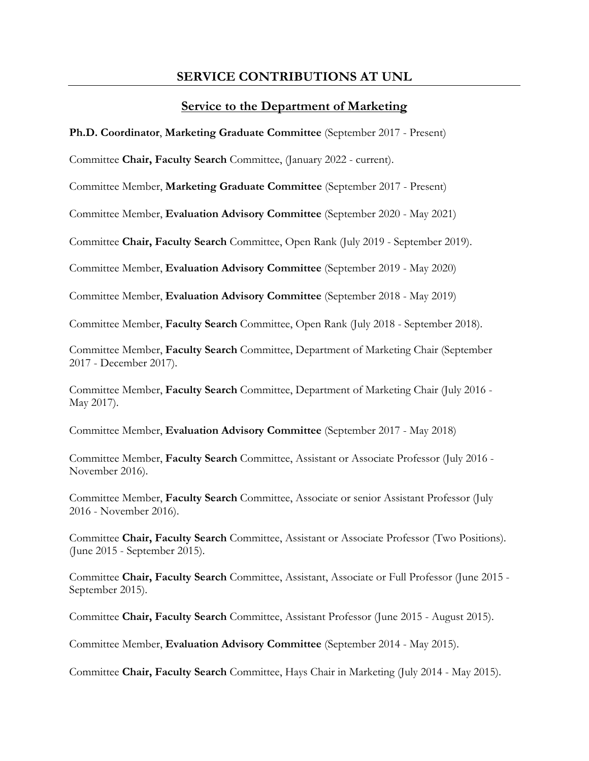## **SERVICE CONTRIBUTIONS AT UNL**

## **Service to the Department of Marketing**

**Ph.D. Coordinator**, **Marketing Graduate Committee** (September 2017 - Present)

Committee **Chair, Faculty Search** Committee, (January 2022 - current).

Committee Member, **Marketing Graduate Committee** (September 2017 - Present)

Committee Member, **Evaluation Advisory Committee** (September 2020 - May 2021)

Committee **Chair, Faculty Search** Committee, Open Rank (July 2019 - September 2019).

Committee Member, **Evaluation Advisory Committee** (September 2019 - May 2020)

Committee Member, **Evaluation Advisory Committee** (September 2018 - May 2019)

Committee Member, **Faculty Search** Committee, Open Rank (July 2018 - September 2018).

Committee Member, **Faculty Search** Committee, Department of Marketing Chair (September 2017 - December 2017).

Committee Member, **Faculty Search** Committee, Department of Marketing Chair (July 2016 - May 2017).

Committee Member, **Evaluation Advisory Committee** (September 2017 - May 2018)

Committee Member, **Faculty Search** Committee, Assistant or Associate Professor (July 2016 - November 2016).

Committee Member, **Faculty Search** Committee, Associate or senior Assistant Professor (July 2016 - November 2016).

Committee **Chair, Faculty Search** Committee, Assistant or Associate Professor (Two Positions). (June 2015 - September 2015).

Committee **Chair, Faculty Search** Committee, Assistant, Associate or Full Professor (June 2015 - September 2015).

Committee **Chair, Faculty Search** Committee, Assistant Professor (June 2015 - August 2015).

Committee Member, **Evaluation Advisory Committee** (September 2014 - May 2015).

Committee **Chair, Faculty Search** Committee, Hays Chair in Marketing (July 2014 - May 2015).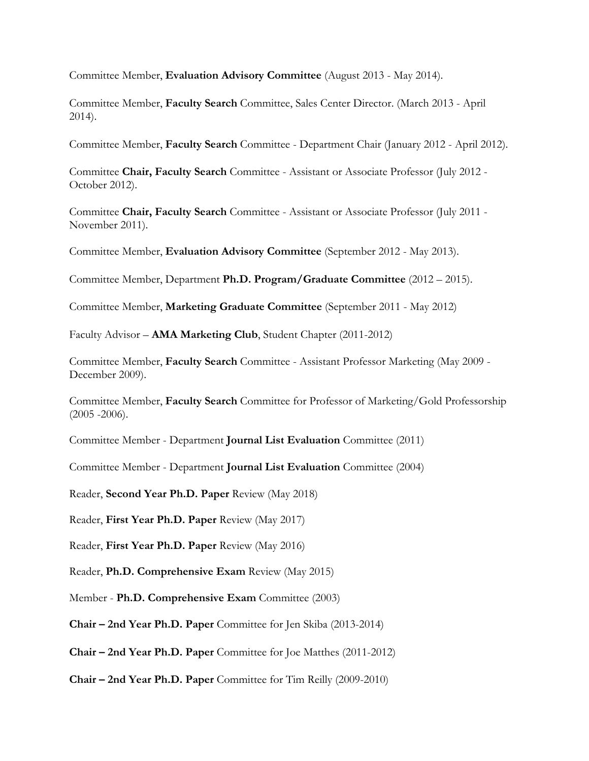Committee Member, **Evaluation Advisory Committee** (August 2013 - May 2014).

Committee Member, **Faculty Search** Committee, Sales Center Director. (March 2013 - April 2014).

Committee Member, **Faculty Search** Committee - Department Chair (January 2012 - April 2012).

Committee **Chair, Faculty Search** Committee - Assistant or Associate Professor (July 2012 - October 2012).

Committee **Chair, Faculty Search** Committee - Assistant or Associate Professor (July 2011 - November 2011).

Committee Member, **Evaluation Advisory Committee** (September 2012 - May 2013).

Committee Member, Department **Ph.D. Program/Graduate Committee** (2012 – 2015).

Committee Member, **Marketing Graduate Committee** (September 2011 - May 2012)

Faculty Advisor – **AMA Marketing Club**, Student Chapter (2011-2012)

Committee Member, **Faculty Search** Committee - Assistant Professor Marketing (May 2009 - December 2009).

Committee Member, **Faculty Search** Committee for Professor of Marketing/Gold Professorship  $(2005 - 2006)$ .

Committee Member - Department **Journal List Evaluation** Committee (2011)

Committee Member - Department **Journal List Evaluation** Committee (2004)

Reader, **Second Year Ph.D. Paper** Review (May 2018)

Reader, **First Year Ph.D. Paper** Review (May 2017)

Reader, **First Year Ph.D. Paper** Review (May 2016)

Reader, **Ph.D. Comprehensive Exam** Review (May 2015)

Member - **Ph.D. Comprehensive Exam** Committee (2003)

**Chair – 2nd Year Ph.D. Paper** Committee for Jen Skiba (2013-2014)

**Chair – 2nd Year Ph.D. Paper** Committee for Joe Matthes (2011-2012)

**Chair – 2nd Year Ph.D. Paper** Committee for Tim Reilly (2009-2010)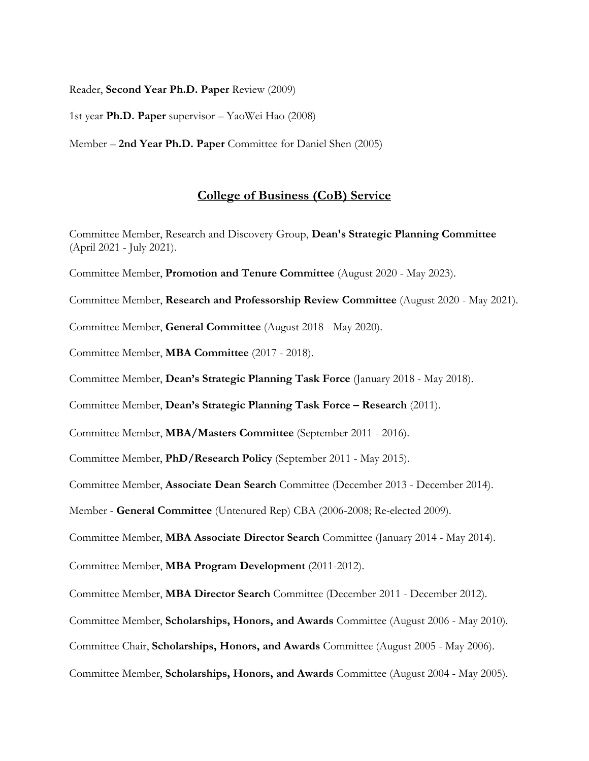Reader, **Second Year Ph.D. Paper** Review (2009)

1st year **Ph.D. Paper** supervisor – YaoWei Hao (2008)

Member – **2nd Year Ph.D. Paper** Committee for Daniel Shen (2005)

#### **College of Business (CoB) Service**

Committee Member, Research and Discovery Group, **Dean's Strategic Planning Committee** (April 2021 - July 2021).

Committee Member, **Promotion and Tenure Committee** (August 2020 - May 2023).

Committee Member, **Research and Professorship Review Committee** (August 2020 - May 2021).

Committee Member, **General Committee** (August 2018 - May 2020).

Committee Member, **MBA Committee** (2017 - 2018).

Committee Member, **Dean's Strategic Planning Task Force** (January 2018 - May 2018).

Committee Member, **Dean's Strategic Planning Task Force – Research** (2011).

Committee Member, **MBA/Masters Committee** (September 2011 - 2016).

Committee Member, **PhD/Research Policy** (September 2011 - May 2015).

Committee Member, **Associate Dean Search** Committee (December 2013 - December 2014).

Member - **General Committee** (Untenured Rep) CBA (2006-2008; Re-elected 2009).

Committee Member, **MBA Associate Director Search** Committee (January 2014 - May 2014).

Committee Member, **MBA Program Development** (2011-2012).

Committee Member, **MBA Director Search** Committee (December 2011 - December 2012).

Committee Member, **Scholarships, Honors, and Awards** Committee (August 2006 - May 2010).

Committee Chair, **Scholarships, Honors, and Awards** Committee (August 2005 - May 2006).

Committee Member, **Scholarships, Honors, and Awards** Committee (August 2004 - May 2005).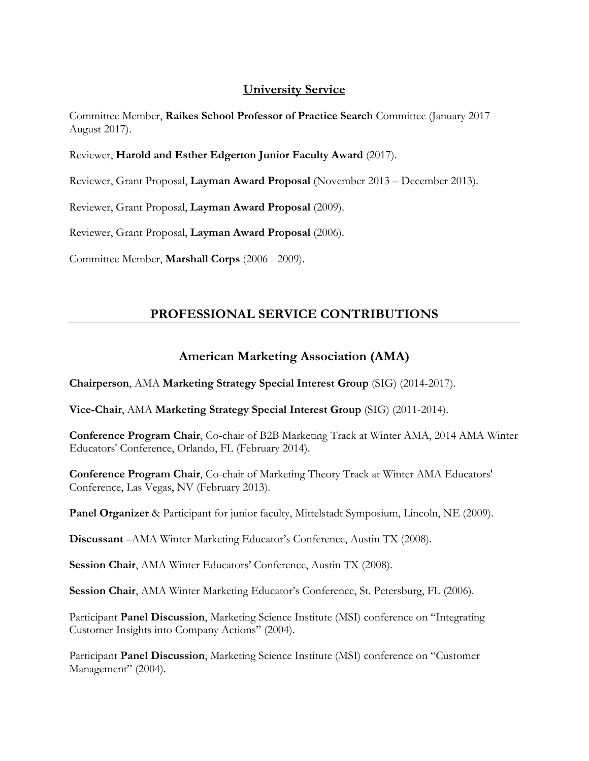## **University Service**

Committee Member, **Raikes School Professor of Practice Search** Committee (January 2017 - August 2017).

Reviewer, **Harold and Esther Edgerton Junior Faculty Award** (2017).

Reviewer, Grant Proposal, **Layman Award Proposal** (November 2013 – December 2013).

Reviewer, Grant Proposal, **Layman Award Proposal** (2009).

Reviewer, Grant Proposal, **Layman Award Proposal** (2006).

Committee Member, **Marshall Corps** (2006 - 2009).

## **PROFESSIONAL SERVICE CONTRIBUTIONS**

## **American Marketing Association (AMA)**

**Chairperson**, AMA **Marketing Strategy Special Interest Group** (SIG) (2014-2017).

**Vice-Chair**, AMA **Marketing Strategy Special Interest Group** (SIG) (2011-2014).

**Conference Program Chair**, Co-chair of B2B Marketing Track at Winter AMA, 2014 AMA Winter Educators' Conference, Orlando, FL (February 2014).

**Conference Program Chair**, Co-chair of Marketing Theory Track at Winter AMA Educators' Conference, Las Vegas, NV (February 2013).

**Panel Organizer** & Participant for junior faculty, Mittelstadt Symposium, Lincoln, NE (2009).

**Discussant** –AMA Winter Marketing Educator's Conference, Austin TX (2008).

**Session Chair**, AMA Winter Educators' Conference, Austin TX (2008).

**Session Chair**, AMA Winter Marketing Educator's Conference, St. Petersburg, FL (2006).

Participant **Panel Discussion**, Marketing Science Institute (MSI) conference on "Integrating Customer Insights into Company Actions" (2004).

Participant **Panel Discussion**, Marketing Science Institute (MSI) conference on "Customer Management" (2004).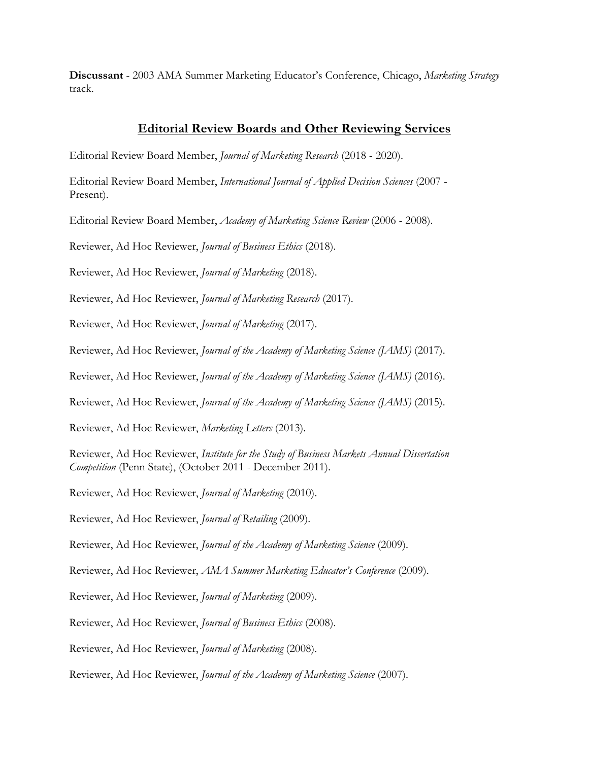**Discussant** - 2003 AMA Summer Marketing Educator's Conference, Chicago, *Marketing Strategy*  track.

## **Editorial Review Boards and Other Reviewing Services**

Editorial Review Board Member, *Journal of Marketing Research* (2018 - 2020).

Editorial Review Board Member, *International Journal of Applied Decision Sciences* (2007 - Present).

Editorial Review Board Member, *Academy of Marketing Science Review* (2006 - 2008).

Reviewer, Ad Hoc Reviewer, *Journal of Business Ethics* (2018).

Reviewer, Ad Hoc Reviewer, *Journal of Marketing* (2018).

Reviewer, Ad Hoc Reviewer, *Journal of Marketing Research* (2017).

Reviewer, Ad Hoc Reviewer, *Journal of Marketing* (2017).

Reviewer, Ad Hoc Reviewer, *Journal of the Academy of Marketing Science (JAMS)* (2017).

Reviewer, Ad Hoc Reviewer, *Journal of the Academy of Marketing Science (JAMS)* (2016).

Reviewer, Ad Hoc Reviewer, *Journal of the Academy of Marketing Science (JAMS)* (2015).

Reviewer, Ad Hoc Reviewer, *Marketing Letters* (2013).

Reviewer, Ad Hoc Reviewer, *Institute for the Study of Business Markets Annual Dissertation Competition* (Penn State), (October 2011 - December 2011).

Reviewer, Ad Hoc Reviewer, *Journal of Marketing* (2010).

Reviewer, Ad Hoc Reviewer, *Journal of Retailing* (2009).

Reviewer, Ad Hoc Reviewer, *Journal of the Academy of Marketing Science* (2009).

Reviewer, Ad Hoc Reviewer, *AMA Summer Marketing Educator's Conference* (2009).

Reviewer, Ad Hoc Reviewer, *Journal of Marketing* (2009).

Reviewer, Ad Hoc Reviewer, *Journal of Business Ethics* (2008).

Reviewer, Ad Hoc Reviewer, *Journal of Marketing* (2008).

Reviewer, Ad Hoc Reviewer, *Journal of the Academy of Marketing Science* (2007).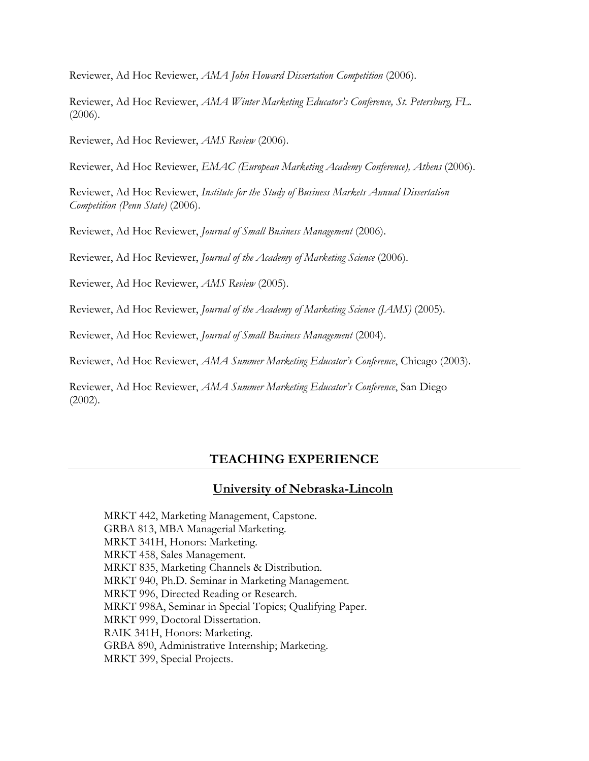Reviewer, Ad Hoc Reviewer, *AMA John Howard Dissertation Competition* (2006).

Reviewer, Ad Hoc Reviewer, *AMA Winter Marketing Educator's Conference, St. Petersburg, FL*. (2006).

Reviewer, Ad Hoc Reviewer, *AMS Review* (2006).

Reviewer, Ad Hoc Reviewer, *EMAC (European Marketing Academy Conference), Athens* (2006).

Reviewer, Ad Hoc Reviewer, *Institute for the Study of Business Markets Annual Dissertation Competition (Penn State)* (2006).

Reviewer, Ad Hoc Reviewer, *Journal of Small Business Management* (2006).

Reviewer, Ad Hoc Reviewer, *Journal of the Academy of Marketing Science* (2006).

Reviewer, Ad Hoc Reviewer, *AMS Review* (2005).

Reviewer, Ad Hoc Reviewer, *Journal of the Academy of Marketing Science (JAMS)* (2005).

Reviewer, Ad Hoc Reviewer, *Journal of Small Business Management* (2004).

Reviewer, Ad Hoc Reviewer, *AMA Summer Marketing Educator's Conference*, Chicago (2003).

Reviewer, Ad Hoc Reviewer, *AMA Summer Marketing Educator's Conference*, San Diego (2002).

## **TEACHING EXPERIENCE**

### **University of Nebraska-Lincoln**

MRKT 442, Marketing Management, Capstone. GRBA 813, MBA Managerial Marketing. MRKT 341H, Honors: Marketing. MRKT 458, Sales Management. MRKT 835, Marketing Channels & Distribution. MRKT 940, Ph.D. Seminar in Marketing Management. MRKT 996, Directed Reading or Research. MRKT 998A, Seminar in Special Topics; Qualifying Paper. MRKT 999, Doctoral Dissertation. RAIK 341H, Honors: Marketing. GRBA 890, Administrative Internship; Marketing. MRKT 399, Special Projects.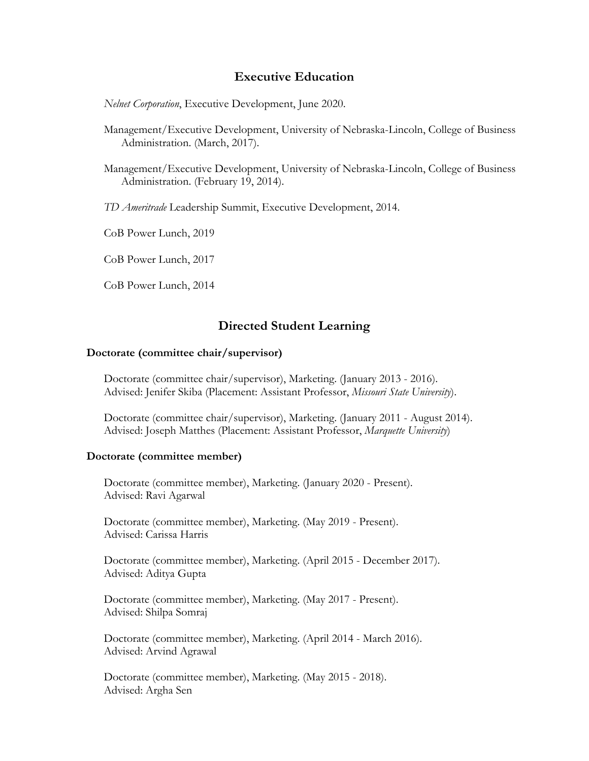## **Executive Education**

*Nelnet Corporation*, Executive Development, June 2020.

- Management/Executive Development, University of Nebraska-Lincoln, College of Business Administration. (March, 2017).
- Management/Executive Development, University of Nebraska-Lincoln, College of Business Administration. (February 19, 2014).
- *TD Ameritrade* Leadership Summit, Executive Development, 2014.

CoB Power Lunch, 2019

CoB Power Lunch, 2017

CoB Power Lunch, 2014

#### **Directed Student Learning**

#### **Doctorate (committee chair/supervisor)**

Doctorate (committee chair/supervisor), Marketing. (January 2013 - 2016). Advised: Jenifer Skiba (Placement: Assistant Professor, *Missouri State University*).

Doctorate (committee chair/supervisor), Marketing. (January 2011 - August 2014). Advised: Joseph Matthes (Placement: Assistant Professor, *Marquette University*)

#### **Doctorate (committee member)**

Doctorate (committee member), Marketing. (January 2020 - Present). Advised: Ravi Agarwal

Doctorate (committee member), Marketing. (May 2019 - Present). Advised: Carissa Harris

Doctorate (committee member), Marketing. (April 2015 - December 2017). Advised: Aditya Gupta

Doctorate (committee member), Marketing. (May 2017 - Present). Advised: Shilpa Somraj

Doctorate (committee member), Marketing. (April 2014 - March 2016). Advised: Arvind Agrawal

Doctorate (committee member), Marketing. (May 2015 - 2018). Advised: Argha Sen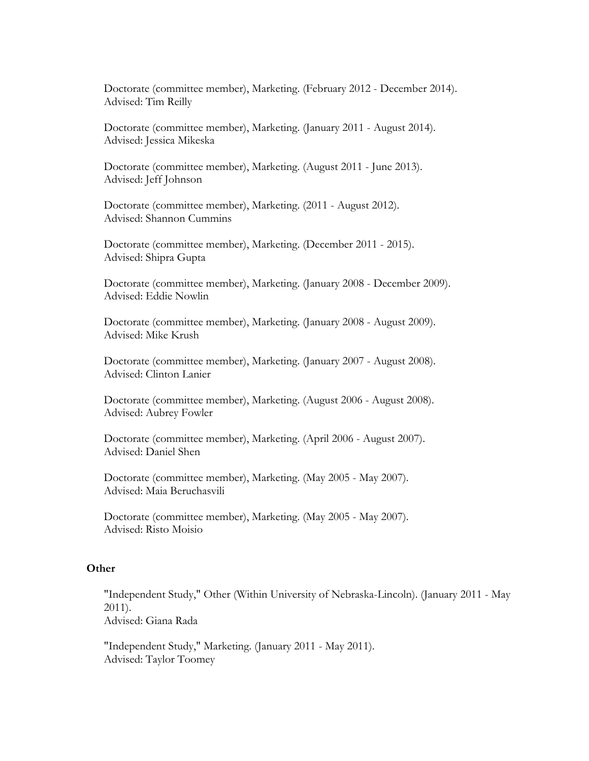Doctorate (committee member), Marketing. (February 2012 - December 2014). Advised: Tim Reilly

Doctorate (committee member), Marketing. (January 2011 - August 2014). Advised: Jessica Mikeska

Doctorate (committee member), Marketing. (August 2011 - June 2013). Advised: Jeff Johnson

Doctorate (committee member), Marketing. (2011 - August 2012). Advised: Shannon Cummins

Doctorate (committee member), Marketing. (December 2011 - 2015). Advised: Shipra Gupta

Doctorate (committee member), Marketing. (January 2008 - December 2009). Advised: Eddie Nowlin

Doctorate (committee member), Marketing. (January 2008 - August 2009). Advised: Mike Krush

Doctorate (committee member), Marketing. (January 2007 - August 2008). Advised: Clinton Lanier

Doctorate (committee member), Marketing. (August 2006 - August 2008). Advised: Aubrey Fowler

Doctorate (committee member), Marketing. (April 2006 - August 2007). Advised: Daniel Shen

Doctorate (committee member), Marketing. (May 2005 - May 2007). Advised: Maia Beruchasvili

Doctorate (committee member), Marketing. (May 2005 - May 2007). Advised: Risto Moisio

#### **Other**

"Independent Study," Other (Within University of Nebraska-Lincoln). (January 2011 - May 2011). Advised: Giana Rada

"Independent Study," Marketing. (January 2011 - May 2011). Advised: Taylor Toomey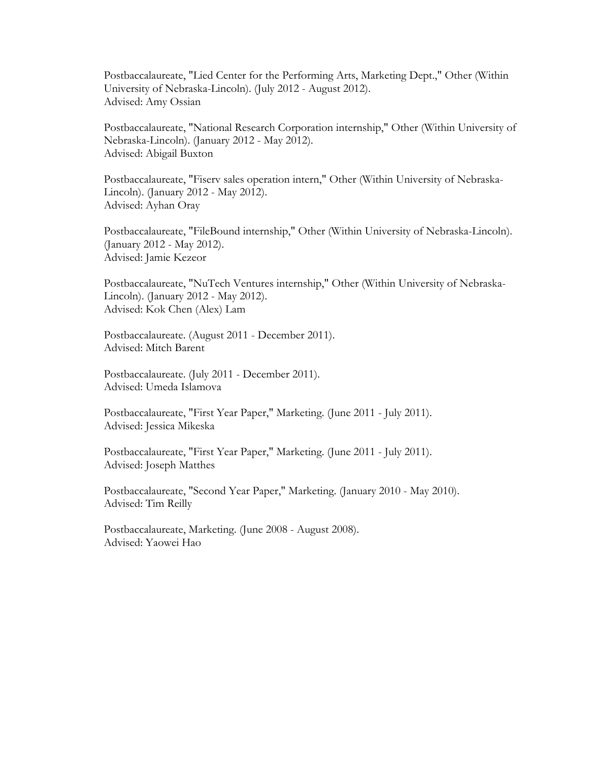Postbaccalaureate, "Lied Center for the Performing Arts, Marketing Dept.," Other (Within University of Nebraska-Lincoln). (July 2012 - August 2012). Advised: Amy Ossian

Postbaccalaureate, "National Research Corporation internship," Other (Within University of Nebraska-Lincoln). (January 2012 - May 2012). Advised: Abigail Buxton

Postbaccalaureate, "Fiserv sales operation intern," Other (Within University of Nebraska-Lincoln). (January 2012 - May 2012). Advised: Ayhan Oray

Postbaccalaureate, "FileBound internship," Other (Within University of Nebraska-Lincoln). (January 2012 - May 2012). Advised: Jamie Kezeor

Postbaccalaureate, "NuTech Ventures internship," Other (Within University of Nebraska-Lincoln). (January 2012 - May 2012). Advised: Kok Chen (Alex) Lam

Postbaccalaureate. (August 2011 - December 2011). Advised: Mitch Barent

Postbaccalaureate. (July 2011 - December 2011). Advised: Umeda Islamova

Postbaccalaureate, "First Year Paper," Marketing. (June 2011 - July 2011). Advised: Jessica Mikeska

Postbaccalaureate, "First Year Paper," Marketing. (June 2011 - July 2011). Advised: Joseph Matthes

Postbaccalaureate, "Second Year Paper," Marketing. (January 2010 - May 2010). Advised: Tim Reilly

Postbaccalaureate, Marketing. (June 2008 - August 2008). Advised: Yaowei Hao